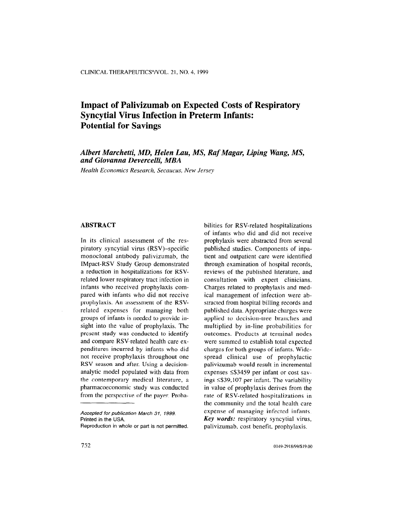# Impact of Palivizumab on Expected Costs of Respiratory Syncytial Virus Infection in Preterm Infants: Potential for Savings

# Albert Marchetti, MD, Helen Lau, MS, Raf Magar, Liping Wang, MS, and Giovanna Devercelli, MBA

Health Economics Research, &caucus, New Jersey

# **ABSTRACT**

In its clinical assessment of the respiratory syncytial virus (RSV)-specific monoclonal antibody palivizumab, the IMpact-RSV Study Group demonstrated a reduction in hospitalizations for RSVrelated lower respiratory tract infection in infants who received prophylaxis compared with infants who did not receive prophylaxis. An assessment of the RSVrelated expenses for managing both groups of infants is needed to provide insight into the value of prophylaxis. The present study was conducted to identify and compare RSV-related health care expenditures incurred by infants who did not receive prophylaxis throughout one RSV season and after. Using a decisionanalytic model populated with data from the contemporary medical literature, a phannacoeconomic study was conducted from the perspective of the payer. Proba-

Accepted for publication March 31, 1999. Printed in the USA.

Reproduction in whole or part is not permitted.

bilities for RSV-related hospitalizations of infants who did and did not receive prophylaxis were abstracted from several published studies. Components of inpatient and outpatient care were identified through examination of hospital records, reviews of the published literature. and consultation with expert clinicians. Charges related to prophylaxis and medical management of infection were abstracted from hospital billing records and published data. Appropriate charges were applied to decision-tree branches and multiplied by in-line probabilities for outcomes. Products at terminal nodes were summed to establish total expected charges for both groups of infants. Widespread clinical use of prophylactic palivizumab would result in incremental expenses  $\leq$ \$3459 per infant or cost savings  $\leq$ \$39,107 per infant. The variability in value of prophylaxis derives from the rate of RSV-related hospitalizations in the community and the total health care expense of managing infected infants. Key words: respiratory syncytial virus, palivizumab, cost benefit, prophylaxis.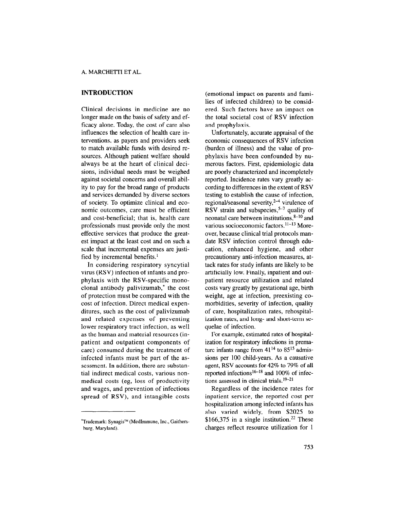# INTRODUCTION

Clinical decisions in medicine are no longer made on the basis of safety and efficacy alone. Today, the cost of care also influences the selection of health care interventions, as payers and providers seek to match available funds with desired resources. Although patient welfare should always be at the heart of clinical decisions, individual needs must be weighed against societal concerns and overall ability to pay for the broad range of products and services demanded by diverse sectors of society. To optimize clinical and economic outcomes, care must be efficient and cost-beneficial; that is, health care professionals must provide only the most effective services that produce the greatest impact at the least cost and on such a scale that incremental expenses are justified by incremental benefits.<sup>1</sup>

In considering respiratory syncytial virus (RSV) infection of infants and prophylaxis with the RSV-specific monoclonal antibody palivizumab,\* the cost of protection must be compared with the cost of infection. Direct medical expenditures, such as the cost of palivizumab and related expenses of preventing lower respiratory tract infection, as well as the human and material resources (inpatient and outpatient components of care) consumed during the treatment of infected infants must be part of the assessment. In addition, there are substantial indirect medical costs, various nonmedical costs (eg, loss of productivity and wages, and prevention of infectious spread of RSV), and intangible costs

(emotional impact on parents and families of infected children) to be considered. Such factors have an impact on the total societal cost of RSV infection and prophylaxis.

Unfortunately, accurate appraisal of the economic consequences of RSV infection (burden of illness) and the value of prophylaxis have been confounded by numerous factors. First, epidemiologic data are poorly characterized and incompletely reported. Incidence rates vary greatly according to differences in the extent of RSV testing to establish the cause of infection, regional/seasonal severity, $2-4$  virulence of RSV strain and subspecies,  $5-7$  quality of neonatal care between institutions, $8-10$  and various socioeconomic factors.<sup>11-13</sup> Moreover, because clinical trial protocols mandate RSV infection control through education, enhanced hygiene, and other precautionary anti-infection measures, attack rates for study infants are likely to be artificially low. Finally, inpatient and outpatient resource utilization and related costs vary greatly by gestational age, birth weight, age at infection, preexisting comorbidities, severity of infection, quality of care, hospitalization rates, rehospitalization rates, and long- and short-term sequelae of infection.

For example, estimated rates of hospitalization for respiratory infections in premature infants range from  $41^{14}$  to  $85^{15}$  admissions per 100 child-years. As a causative agent, RSV accounts for 42% to 79% of all reported infections<sup>16-18</sup> and 100% of infections assessed in clinical trials.19-21

Regardless of the incidence rates for inpatient service, the reported cost per hospitalization among infected infants has also varied widely, from \$2025 to \$166,375 in a single institution.<sup>22</sup> These charges reflect resource utilization for 1

burg, Maryland).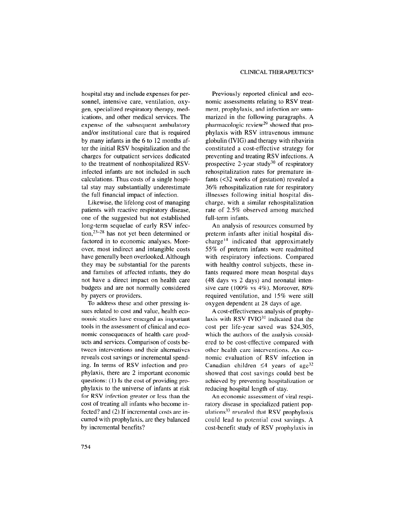hospital stay and include expenses for personnel, intensive care, ventilation, oxygen, specialized respiratory therapy, medications, and other medical services. The expense of the subsequent ambulatory and/or institutional care that is required by many infants in the 6 to 12 months after the initial RSV hospitalization and the charges for outpatient services dedicated to the treatment of nonhospitalized RSVinfected infants are not included in such calculations. Thus costs of a single hospital stay may substantially underestimate the full financial impact of infection.

Likewise, the lifelong cost of managing patients with reactive respiratory disease, one of the suggested but not established long-term sequelae of early RSV infection,  $2^{3-28}$  has not yet been determined or factored in to economic analyses. Moreover, most indirect and intangible costs have generally been overlooked. Although they may be substantial for the parents and families of affected infants, they do not have a direct impact on health care budgets and are not normally considered by payers or providers.

To address these and other pressing issues related to cost and value, health economic studies have emerged as important tools in the assessment of clinical and economic consequences of health care products and services. Comparison of costs between interventions and their alternatives reveals cost savings or incremental spending. In terms of RSV infection and prophylaxis, there are 2 important economic questions: (1) Is the cost of providing prophylaxis to the universe of infants at risk for RSV infection greater or less than the cost of treating all infants who become infected? and (2) If incremental costs are incurred with prophylaxis, are they balanced by incremental benefits?

Previously reported clinical and economic assessments relating to RSV treatment, prophylaxis, and infection are summarized in the following paragraphs. A pharmacologic review<sup>29</sup> showed that prophylaxis with RSV intravenous immune globulin (IVIG) and therapy with ribavirin constituted a cost-effective strategy for preventing and treating RSV infections. A prospective 2-year study<sup>30</sup> of respiratory rehospitalization rates for premature infants (<32 weeks of gestation) revealed a 36% rehospitalization rate for respiratory illnesses following initial hospital discharge, with a similar rehospitalization rate of 2.5% observed among matched full-term infants.

An analysis of resources consumed by preterm infants after initial hospital discharge<sup>14</sup> indicated that approximately 55% of preterm infants were readmitted with respiratory infections. Compared with healthy control subjects, these infants required more mean hospital days (48 days vs 2 days) and neonatal intensive care (100% vs 4%). Moreover, 80% required ventilation, and lS% were still oxygen dependent at 28 days of age.

A cost-effectiveness analysis of prophylaxis with RSV IVI $G<sup>31</sup>$  indicated that the cost per life-year saved was \$24,305, which the authors of the analysis considered to be cost-effective compared with other health care interventions. An economic evaluation of RSV infection in Canadian children  $\leq 4$  years of age<sup>32</sup> showed that cost savings could best be achieved by preventing hospitalization or reducing hospital length of stay.

An economic assessment of viral respiratory disease in specialized patient populations $33$  revealed that RSV prophylaxis could lead to potential cost savings. A cost-benefit study of RSV prophylaxis in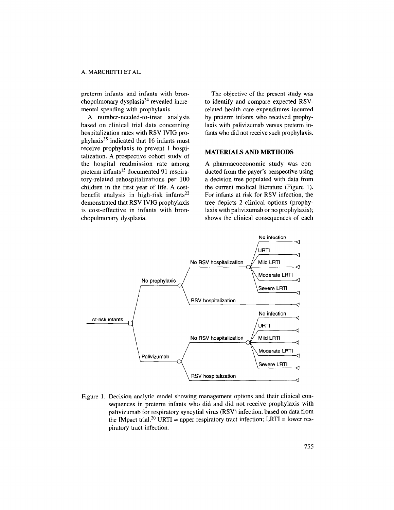preterm infants and infants with bronchopulmonary dysplasia<sup>34</sup> revealed incremental spending with prophylaxis.

A number-needed-to-treat analysis based on clinical trial data concerning hospitalization rates with RSV IVIG prophylaxis<sup>35</sup> indicated that 16 infants must receive prophylaxis to prevent 1 hospitalization. A prospective cohort study of the hospital readmission rate among preterm infants<sup>15</sup> documented 91 respiratory-related rehospitalizations per 100 children in the first year of life. A costbenefit analysis in high-risk infants<sup>22</sup> demonstrated that RSV IVIG prophylaxis is cost-effective in infants with bronchopulmonary dysplasia.

The objective of the present study was to identify and compare expected RSVrelated health care expenditures incurred by preterm infants who received prophylaxis with palivizumab versus preterm infants who did not receive such prophylaxis.

# MATERIALS AND METHODS

A pharmacoeconomic study was conducted from the payer's perspective using a decision tree populated with data from the current medical literature (Figure 1). For infants at risk for RSV infection, the tree depicts 2 clinical options (prophylaxis with palivizumab or no prophylaxis); shows the clinical consequences of each



Figure 1. Decision analytic model showing management options and their clinical consequences in preterm infants who did and did not receive prophylaxis with palivizumab for respiratory syncytial virus (RSV) infection, based on data from the IMpact trial.<sup>20</sup> URTI = upper respiratory tract infection; LRTI = lower respiratory tract infection.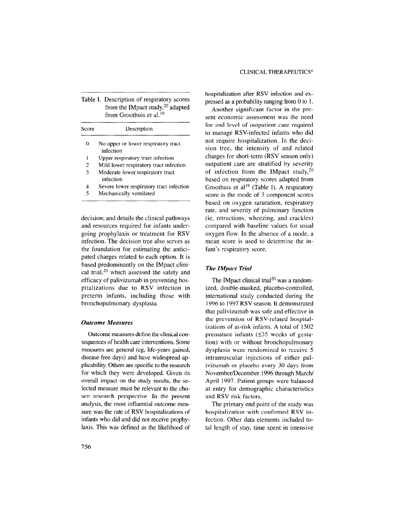|       | Table I. Description of respiratory scores                                 |
|-------|----------------------------------------------------------------------------|
|       | from the IMpact study, $20$ adapted<br>from Groothuis et al. <sup>19</sup> |
| Score | Description                                                                |
| 0     | No upper or lower respiratory tract                                        |

| Ð              | No upper or lower respiratory tract    |
|----------------|----------------------------------------|
|                | infection                              |
| 1              | Upper respiratory tract infection      |
| $\overline{2}$ | Mild lower respiratory tract infection |
| 3              | Moderate lower respiratory tract       |
|                | infection                              |

- <sup>4</sup>Severe lower respiratory tract infection
- 5 Mechanically ventilated

decision; and details the clinical pathways and resources required for infants undergoing prophylaxis or treatment for RSV infection. The decision tree also serves as the foundation for estimating the anticipated charges related to each option. It is based predominantly on the IMpact clinical trial, $20$  which assessed the safety and efficacy of palivizumab in preventing hospitalizations due to RSV infection in preterm infants, including those with bronchopulmonary dysplasia.

### Outcome Measures

Outcome measures define the clinical consequences of health care interventions. Some measures are general (eg, life-years gained, disease-free days) and have widespread applicability. Others are specific to the research for which they were developed. Given its overall impact on the study results, the selected measure must be relevant to the chosen research perspective. In the present analysis, the most influential outcome measure was the rate of RSV hospitalizations of infants who did and did not receive prophylaxis. This was defined as the likelihood of hospitalization after RSV infection and expressed as a probability ranging from 0 to 1.

Another significant factor in the present economic assessment was the need for and level of outpatient care required to manage RSV-infected infants who did not require hospitalization. In the decision tree, the intensity of and related charges for short-term (RSV season only) outpatient care are stratified by severity of infection from the IMpact study,  $20$ based on respiratory scores adapted from Groothuis et al<sup>19</sup> (Table I). A respiratory score is the mode of 3 component scores based on oxygen saturation, respiratory rate, and severity of pulmonary function (ie, retractions, wheezing, and crackles) compared with baseline values for usual oxygen flow. In the absence of a mode, a mean score is used to determine the infant's respiratory score.

### The IMpact Trial

The IMpact clinical trial<sup>20</sup> was a randomized, double-masked, placebo-controlled, international study conducted during the 1996 to 1997 RSV season. It demonstrated that palivizumab was safe and effective in the prevention of RSV-related hospitalizations of at-risk infants. A total of 1502 premature infants  $(≤35$  weeks of gestation) with or without bronchopulmonary dysplasia were randomized to receive 5 intramuscular injections of either palivizumab or placebo every 30 days from November/December 1996 through March/ April 1997. Patient groups were balanced at entry for demographic characteristics and RSV risk factors.

The primary end point of the study was hospitalization with confirmed RSV infection. Other data elements included total length of stay, time spent in intensive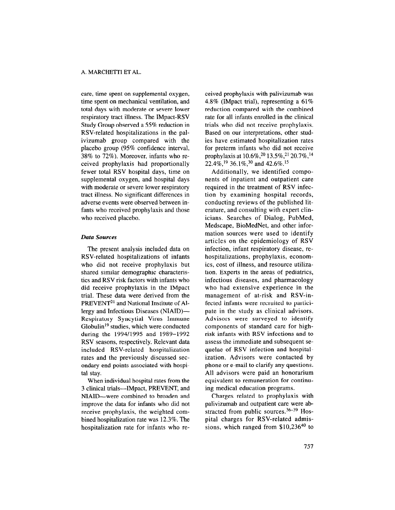care, time spent on supplemental oxygen, time spent on mechanical ventilation, and total days with moderate or severe lower respiratory tract illness. The IMpact-RSV Study Group observed a 55% reduction in RSV-related hospitalizations in the palivizumab group compared with the placebo group (95% confidence interval, 38% to 72%). Moreover, infants who received prophylaxis had proportionally fewer total RSV hospital days, time on supplemental oxygen, and hospital days with moderate or severe lower respiratory tract illness. No significant differences in adverse events were observed between infants who received prophylaxis and those who received placebo.

### Data Sources

The present analysis included data on RSV-related hospitalizations of infants who did not receive prophylaxis but shared similar demographic characteristics and RSV risk factors with infants who did receive prophylaxis in the IMpact trial. These data were derived from the PREVENT<sup>21</sup> and National Institute of Allergy and Infectious Diseases (NIAID)- Respiratory Syncytial Virus Immune Globulin19 studies, which were conducted during the 199411995 and 1989-1992 RSV seasons, respectively. Relevant data included RSV-related hospitalization rates and the previously discussed secondary end points associated with hospital stay.

When individual hospital rates from the 3 clinical trials-IMpact, PREVENT, and NIAID-were combined to broaden and improve the data for infants who did not receive prophylaxis, the weighted combined hospitalization rate was 12.3%. The hospitalization rate for infants who received prophylaxis with palivizumab was 4.8% (IMpact trial), representing a 61% reduction compared with the combined rate for all infants enrolled in the clinical trials who did not receive prophylaxis. Based on our interpretations, other studies have estimated hospitalization rates for preterm infants who did not receive prophylaxis at 10.6%,<sup>20</sup> 13.5%,<sup>21</sup> 20.7%,<sup>14</sup> 22.4%,19 36.1%,30 and 42.6%.15

Additionally, we identified components of inpatient and outpatient care required in the treatment of RSV infection by examining hospital records, conducting reviews of the published literature, and consulting with expert clinicians. Searches of Dialog, PubMed, Medscape, BioMedNet, and other information sources were used to identify articles on the epidemiology of RSV infection, infant respiratory disease, rehospitalizations, prophylaxis, economics, cost of illness, and resource utilization. Experts in the areas of pediatrics, infectious diseases, and pharmacology who had extensive experience in the management of at-risk and RSV-infected infants were recruited to participate in the study as clinical advisors. Advisors were surveyed to identify components of standard care for highrisk infants with RSV infections and to assess the immediate and subsequent sequelae of RSV infection and hospitalization. Advisors were contacted by phone or e-mail to clarify any questions. All advisors were paid an honorarium equivalent to remuneration for continuing medical education programs.

Charges related to prophylaxis with palivizumab and outpatient care were abstracted from public sources.<sup>36-39</sup> Hospital charges for RSV-related admissions, which ranged from \$10,236<sup>40</sup> to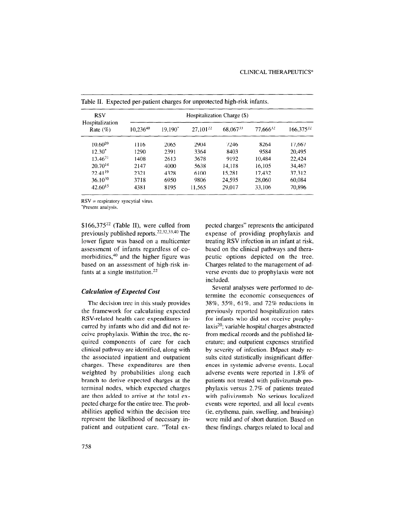| <b>RSV</b>                     |               |         |               | Hospitalization Charge (\$) |          |                |
|--------------------------------|---------------|---------|---------------|-----------------------------|----------|----------------|
| Hospitalization<br>Rate $(\%)$ | $10,236^{40}$ | 19.190* | $27,101^{22}$ | 68,06733                    | 77,66632 | $166,375^{22}$ |
| $10.60^{20}$                   | 1116          | 2065    | 2904          | 7246                        | 8264     | 17.667         |
| $12.30*$                       | 1290          | 2391    | 3364          | 8403                        | 9584     | 20,495         |
| $13.46^{21}$                   | 1408          | 2613    | 3678          | 9192                        | 10.484   | 22.424         |
| $20.70^{14}$                   | 2147          | 4000    | 5638          | 14,118                      | 16,105   | 34,467         |
| $22.41^{19}$                   | 2321          | 4328    | 6100          | 15,281                      | 17.432   | 37,312         |
| $36.10^{30}$                   | 3718          | 6950    | 9806          | 24.595                      | 28,060   | 60,084         |
| $42.60^{15}$                   | 4381          | 8195    | 11.565        | 29,017                      | 33,106   | 70,896         |

Table II. Expected per-patient charges for unprotected high-risk infants.

 $RSV =$  respiratory syncytial virus.

\*Present analysis.

\$166,37522 (Table II), were culled from previously published reports.<sup>22,32,33,40</sup> The lower figure was based on a multicenter assessment of infants regardless of comorbidities,40 and the higher figure was based on an assessment of high-risk infants at a single institution.22

### Calculation of Expected Cost

The decision tree in this study provides the framework for calculating expected RSV-related health care expenditures incurred by infants who did and did not receive prophylaxis. Within the tree, the required components of care for each clinical pathway are identified, along with the associated inpatient and outpatient charges. These expenditures are then weighted by probabilities along each branch to derive expected charges at the terminal nodes, which expected charges are then added to arrive at the total exare then added to arrive at the total  $\epsilon_{\text{A}}$ peer a charge for the entire tree. The  $p_{100}$ abilities applied whene the decision free proposent and included of necessary inpetted charges" represents the anticipated expense of providing prophylaxis and treating RSV infection in an infant at risk, based on the clinical pathways and therapeutic options depicted on the tree. Charges related to the management of adverse events due to prophylaxis were not included.

Several analyses were performed to determine the economic consequences of 38%, 55%, 61%, and 72% reductions in previously reported hospitalization rates for infants who did not receive prophylaxis20; variable hospital charges abstracted from medical records and the published literature; and outpatient expenses stratified by severity of infection. IMpact study results cited statistically insignificant differences in systemic adverse events. Local adverse events were reported in 1.8% of patients not treated with palivizumab prophylaxis versus 2.7% of patients treated with palivizumab. No serious localized events were reported, and all local events  $\alpha$  erythema, pain, swelling, and bruising,  $\alpha$ were mild and of short duration. Based on were mild and of short duration. Based on these findings, charges related to local and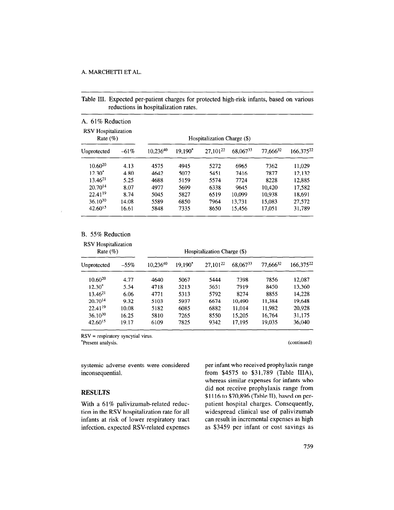Table III. Expected per-patient charges for protected high-risk infants, based on various reductions in hospitalization rates.

| A. 61% Reduction<br><b>RSV</b> Hospitalization<br>Rate $(\%)$ |         |               |         | Hospitalization Charge (\$) |          |                      |                       |
|---------------------------------------------------------------|---------|---------------|---------|-----------------------------|----------|----------------------|-----------------------|
| Unprotected                                                   | $-61\%$ | $10.236^{40}$ | 19.190* | 27,10122                    | 68,06733 | 77.666 <sup>32</sup> | 166,375 <sup>22</sup> |
| $10.60^{20}$                                                  | 4.13    | 4575          | 4945    | 5272                        | 6965     | 7362                 | 11.029                |
| $12.30*$                                                      | 4.80    | 4642          | 5072    | 5451                        | 7416     | 7877                 | 12,132                |
| $13.46^{21}$                                                  | 5.25    | 4688          | 5159    | 5574                        | 7724     | 8228                 | 12.885                |
| $20.70^{14}$                                                  | 8.07    | 4977          | 5699    | 6338                        | 9645     | 10.420               | 17.582                |
| 22.4119                                                       | 8.74    | 5045          | 5827    | 6519                        | 10.099   | 10.938               | 18.691                |
| $36.10^{30}$                                                  | 14.08   | 5589          | 6850    | 7964                        | 13.731   | 15.083               | 27,572                |
| $42.60^{15}$                                                  | 16.61   | 5848          | 7335    | 8650                        | 15.456   | 17,051               | 31,789                |

# B. 55% Reduction

| <b>RSV</b> Hospitalization<br>Rate $(\%)$ |         |          |         | Hospitalization Charge (\$) |          |          |           |
|-------------------------------------------|---------|----------|---------|-----------------------------|----------|----------|-----------|
| Unprotected                               | $-55\%$ | 10,23640 | 19.190* | 27,101 <sup>22</sup>        | 68,06733 | 77,66632 | 166,37522 |
| $10.60^{20}$                              | 4.77    | 4640     | 5067    | 5444                        | 7398     | 7856     | 12,087    |
| $12.30*$                                  | 5.54    | 4718     | 5213    | 5651                        | 7919     | 8450     | 13.360    |
| $13.46^{21}$                              | 6.06    | 4771     | 5313    | 5792                        | 8274     | 8855     | 14.228    |
| $20.70^{14}$                              | 9.32    | 5103     | 5937    | 6674                        | 10.490   | 11.384   | 19.648    |
| $22.41^{19}$                              | 10.08   | 5182     | 6085    | 6882                        | 11.014   | 11.982   | 20,928    |
| $36.10^{30}$                              | 16.25   | 5810     | 7265    | 8550                        | 15.205   | 16.764   | 31,175    |
| $42.60^{15}$                              | 19.17   | 6109     | 7825    | 9342                        | 17.195   | 19,035   | 36,040    |

RSV = respiratory syncytial virus.  $\mathcal{L}$   $\mathcal{L}$   $\mathcal{L}$   $\mathcal{L}$   $\mathcal{L}$   $\mathcal{L}$   $\mathcal{L}$   $\mathcal{L}$   $\mathcal{L}$   $\mathcal{L}$   $\mathcal{L}$   $\mathcal{L}$   $\mathcal{L}$   $\mathcal{L}$   $\mathcal{L}$   $\mathcal{L}$   $\mathcal{L}$   $\mathcal{L}$   $\mathcal{L}$   $\mathcal{L}$   $\mathcal{L}$   $\mathcal{L}$   $\mathcal{L}$   $\mathcal{L}$   $\mathcal{$ 

systemic adverse events were considered inconsequential.

with a 01% panvizumab-telated reduc-<br>the RSV hospitalization rate for all widespeed clinical use of palities and palities tion in the RSV hospitalization rate for all widespread clinical use of palivizumab infants at risk of lower respiratory tract can result in incremental expenses as high infants at risk of lower respiratory tract can result in incremental expenses as high infection, expected RSV-related expenses as \$3459 per infant or cost savings as

per infant who received prophylaxis range from \$4575 to \$31,789 (Table IIIA), whereas similar expenses for infants who whereas similar expenses for miants who<br>
did not receive prophylaxis range from<br>  $$1116 \text{ to } $70,996 \text{ (T51b, F)}$ , based on per- $W_{\rm cl}$  and  $W_{\rm cl}$  for  $P_{\rm cl}$  particle relationships  $\Omega$  and  $P_{\rm cl}$  charges. Consequently,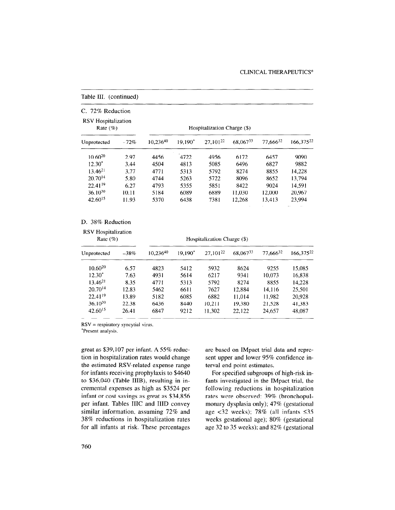| C. 72% Reduction<br><b>RSV</b> Hospitalization<br>Rate $(\%)$ |        |               |           | Hospitalization Charge (\$) |          |               |                       |
|---------------------------------------------------------------|--------|---------------|-----------|-----------------------------|----------|---------------|-----------------------|
| Unprotected                                                   | $-72%$ | $10.236^{40}$ | $19.190*$ | $27,101^{22}$               | 68,06733 | $77,666^{32}$ | 166,375 <sup>22</sup> |
| $10.60^{20}$                                                  | 2.97   | 4456          | 4722      | 4956                        | 6172     | 6457          | 9090                  |
| $12.30*$                                                      | 3.44   | 4504          | 4813      | 5085                        | 6496     | 6827          | 9882                  |
| $13.46^{21}$                                                  | 3.77   | 4771          | 5313      | 5792                        | 8274     | 8855          | 14.228                |
| $20.70^{14}$                                                  | 5.80   | 4744          | 5263      | 5722                        | 8096     | 8652          | 13,794                |
| 22.4119                                                       | 6.27   | 4793          | 5355      | 5851                        | 8422     | 9024          | 14,591                |
| $36.10^{30}$                                                  | 10.11  | 5184          | 6089      | 6889                        | 11.030   | 12,000        | 20,967                |
| $42.60^{15}$                                                  | 11.93  | 5370          | 6438      | 7381                        | 12,268   | 13.413        | 23,994                |

# Table III. (continued)

### D. 38% Reduction

| <b>RSV</b> Hospitalization<br>Rate $(\%)$ |        | Hospitalization Charge (\$) |         |               |          |          |                       |
|-------------------------------------------|--------|-----------------------------|---------|---------------|----------|----------|-----------------------|
| Unprotected                               | $-38%$ | $10.236^{40}$               | 19,190* | $27.101^{22}$ | 68,06733 | 77.66632 | 166,375 <sup>22</sup> |
| $10.60^{20}$                              | 6.57   | 4823                        | 5412    | 5932          | 8624     | 9255     | 15,085                |
| $12.30*$                                  | 7.63   | 4931                        | 5614    | 6217          | 9341     | 10.073   | 16.838                |
| $13.46^{21}$                              | 8.35   | 4771                        | 5313    | 5792          | 8274     | 8855     | 14,228                |
| $20.70^{14}$                              | 12.83  | 5462                        | 6611    | 7627          | 12.884   | 14.116   | 25,501                |
| $22.41^{19}$                              | 13.89  | 5182                        | 6085    | 6882          | 11.014   | 11.982   | 20,928                |
| $36.10^{30}$                              | 22.38  | 6436                        | 8440    | 10,211        | 19.380   | 21,528   | 41,383                |
| $42.60^{15}$                              | 26.41  | 6847                        | 9212    | 11,302        | 22,122   | 24,657   | 48.087                |

RSV = respiratory syncytial virus.  $\kappa$ <sup>3</sup>  $\nu$  = respiratory sy

great as \$39,107 per infant. A 55% reduction in hospitalization rates would change the estimated RSV-related expense range for infants receiving prophylaxis to \$4640 to \$36,040 (Table IIIB), resulting in incremental expenses as high as \$3524 per infant or cost savings as great as \$34,856 per infant. Tables IIIC and IIID convey similar information, assuming 72% and  $38\%$  reductions in hospitalization rates  $\frac{1}{20}$   $\frac{1}{20}$  in all  $\frac{1}{20}$  in  $\frac{1}{20}$  in  $\frac{1}{20}$  in  $\frac{1}{20}$  in  $\frac{1}{20}$  in  $\frac{1}{20}$  are based on IMpact trial data and represent upper and lower 95% confidence interval end point estimates.

For specified subgroups of high-risk infants investigated in the IMpact trial. the fains investigated in the hypact that, the ronowing reductions in hospitalization rates were observed: 39% (bronchopul-<br>monary dysplasia only); 47% (gestational age  $<32$  weeks); 78% (all infants  $\leq 35$ weeks gestational age); 80% (gestational age 32 to 35 weeks); and 82% (gestational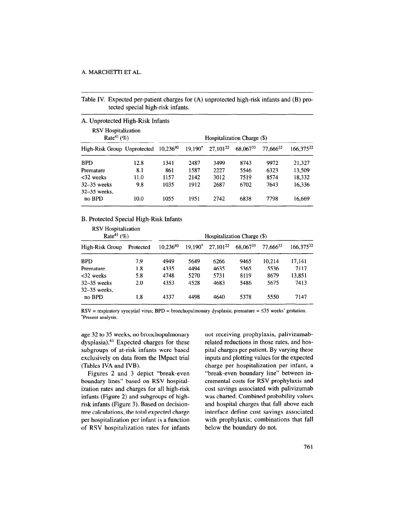Table IV. Expected per-patient charges for (A) unprotected high-risk infants and (B) protected special high-risk infants.

| <b>RSV</b> Hospitalization<br>Rate <sup>41</sup> $(\%)$<br>Hospitalization Charge (\$) |      |               |           |               |          |               |                       |  |
|----------------------------------------------------------------------------------------|------|---------------|-----------|---------------|----------|---------------|-----------------------|--|
| High-Risk Group Unprotected                                                            |      | $10.236^{40}$ | $19.190*$ | $27,101^{22}$ | 68.06733 | $77.666^{32}$ | 166,375 <sup>22</sup> |  |
| <b>BPD</b>                                                                             | 12.8 | 1341          | 2487      | 3499          | 8743     | 9972          | 21.327                |  |
| Premature                                                                              | 8.1  | 861           | 1587      | 2227          | 5546     | 6323          | 13.509                |  |
| $<32$ weeks                                                                            | 11.0 | 1157          | 2142      | 3012          | 7519     | 8574          | 18.332                |  |
| $32-35$ weeks<br>$32 - 35$ weeks.                                                      | 9.8  | 1035          | 1912      | 2687          | 6702     | 7643          | 16.336                |  |
| no BPD                                                                                 | 10.0 | 1055          | 1951      | 2742          | 6838     | 7798          | 16,669                |  |

### B. Protected Special High-Risk Infants

| <b>RSV</b> Hospitalization<br>Rate <sup>41</sup> $(\%)$ |           | Hospitalization Charge (\$) |           |               |          |          |                |
|---------------------------------------------------------|-----------|-----------------------------|-----------|---------------|----------|----------|----------------|
| High-Risk Group                                         | Protected | $10.236^{40}$               | $19.190*$ | $27,101^{22}$ | 68,06733 | 77.66632 | $166,375^{22}$ |
| <b>BPD</b>                                              | 7.9       | 4949                        | 5649      | 6266          | 9465     | 10.214   | 17.141         |
| Premature                                               | 1.8       | 4335                        | 4494      | 4635          | 5365     | 5536     | 7117           |
| $<$ 32 weeks                                            | 5.8       | 4748                        | 5270      | 5731          | 8119     | 8679     | 13.851         |
| $32-35$ weeks<br>$32 - 35$ weeks.                       | 2.0       | 4353                        | 4528      | 4683          | 5486     | 5675     | 7413           |
| no BPD                                                  | 1.8       | 4337                        | 4498      | 4640          | 5378     | 5550     | 7147           |

 $RSV =$  respiratory syncytial virus;  $BPD =$  bronchopulmonary dysplasia; premature =  $\leq 35$  weeks' gestation. \*Present analysis.

age 32 to 35 weeks, no bronchopulmonary dysplasia).<sup>41</sup> Expected charges for these subgroups of at-risk infants were based exclusively on data from the IMpact trial (Tables IVA and IVB).

Figures 2 and 3 depict "break-even boundary lines" based on RSV hospitalization rates and charges for all high-risk infants (Figure 2) and subgroups of highrisk infants (Figure 3). Based on decisiontree calculations, the total expected charge  $\mu$  is a function per infant is a function per infant is a function of  $\mu$  $\mu$ der Hospitalization  $\rho$ er finant is a function

not receiving prophylaxis, palivizumabrelated reductions in those rates, and hospital charges per patient. By varying these inputs and plotting values for the expected charge per hospitalization per infant, a "break-even boundary line" between incremental costs for RSV prophylaxis and cost savings associated with palivizumab was charted. Combined probability values was charged, combined probability values and hospital charges that  $tan \omega$  over each  $tan \omega$ interface define cost savings associated<br>with prophylaxis; combinations that fall below the boundary do not.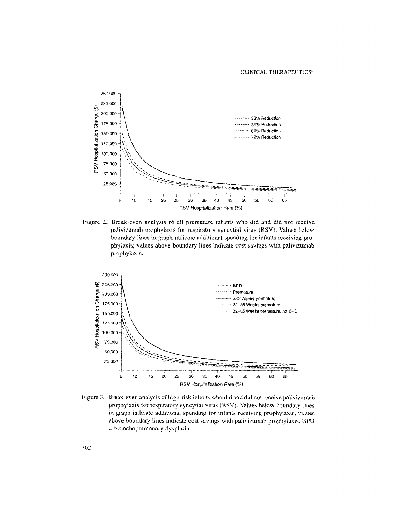### CLINICAL THERAPEUTICS®



Figure 2. Break-even analysis of all premature infants who did and did not receive palivizumab prophylaxis for respiratory syncytial virus (RSV). Values below boundary lines in graph indicate additional spending for infants receiving prophylaxis; values above boundary lines indicate cost savings with palivizumab prophylaxis.



Figure 3. Break-even analysis of high-risk infants who did and did not receive palivizumab prophylaxis for respiratory syncytial virus (RSV). Values belaw boundary lines in graph indicate additional spending for infants receiving prophylaxis; values above boundary lines indicate cost savings with palivizumab prophylaxis. BPD  $=$  bronchopulmonary dysplasia.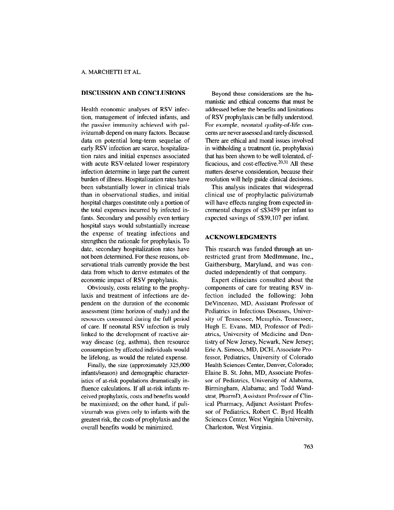# DISCUSSION AND CONCLUSIONS

Health economic analyses of RSV infection, management of infected infants, and the passive immunity achieved with palivizumab depend on many factors. Because data on potential long-term sequelae of early RSV infection are scarce, hospitalization rates and initial expenses associated with acute RSV-related lower respiratory infection determine in large part the current burden of illness. Hospitalization rates have been substantially lower in clinical trials than in observational studies, and initial hospital charges constitute only a portion of the total expenses incurred by infected infants. Secondary and possibly even tertiary hospital stays would substantially increase the expense of treating infections and strengthen the rationale for prophylaxis. To date, secondary hospitalization rates have not been determined. For these reasons, observational trials currently provide the best data from which to derive estimates of the economic impact of RSV prophylaxis.

Obviously, costs relating to the prophylaxis and treatment of infections are dependent on the duration of the economic assessment (time horizon of study) and the resources consumed during the full period of care. If neonatal RSV infection is truly linked to the development of reactive airway disease (eg, asthma), then resource consumption by affected individuals would be lifelong, as would the related expense.

Finally, the size (approximately 325,000 infants/season) and demographic characteristics of at-risk populations dramatically influence calculations. If all at-risk infants received prophylaxis, costs and benefits would be maximized; on the other hand, if palivizumab was given only to infants with the greatest risk, the costs of prophylaxis and the overall benefits would bc minimized.

Beyond these considerations are the humanistic and ethical concerns that must be addressed before the benefits and limitations of RSV prophylaxis can be fully understood. For example, neonatal quality-of-life concerns are never assessed and rarely discussed. There are ethical and moral issues involved in withholding a treatment (ie, prophylaxis) that has been shown to be well tolerated, efficacious, and cost-effective. $20,31$  All these matters deserve consideration, because their resolution will help guide clinical decisions.

This analysis indicates that widespread clinical use of prophylactic palivizumab will have effects ranging from expected incremental charges of <\$3459 per infant to expected savings of  $\leq$ \$39,107 per infant.

# ACKNOWLEDGMENTS

This research was funded through an unrestricted grant from MedImmune, Inc., Gaithersburg, Maryland, and was conducted independently of that company.

Expert clinicians consulted about the components of care for treating RSV infection included the following: John DeVincenzo, MD, Assistant Professor of Pediatrics in Infectious Diseases, University of Tennessee, Memphis, Tennessee; Hugh E. Evans, MD, Professor of Pediatrics, University of Medicine and Dentistry of New Jersey, Newark, New Jersey; Eric A. Simoes, MD, DCH, Associate Professor, Pediatrics, University of Colorado Health Sciences Center, Denver, Colorado; Elaine B. St. John, MD, Associate Professor of Pediatrics, University of Alabama, Birmingham, Alabama; and Todd Wandstrat, PharmD, Assistant Professor of Clinical Pharmacy, Adjunct Assistant Professor of Pediatrics, Robert C. Byrd Health Sciences Center, West Virginia University, Charleston, West Virginia.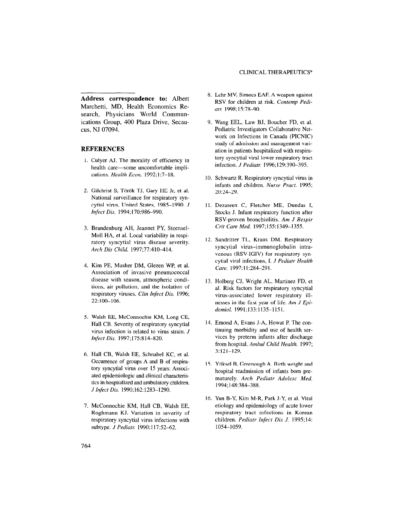### CLINICAL THERAPEUTICS®

Address correspondence to: Albert Marchetti, MD, Health Economics Research, Physicians World Communications Group, 400 Plaza Drive, Secaucus, NJ 07094.

### REFERENCES

- 1. Culyer AJ. The morality of efficiency in health care-some uncomfortable implications. Health Econ. 1992;1:7-18.
- 2. Gilchrist S, T6r6k TJ, Gary HE Jr, et al. National surveillance for respiratory syncytial virus, United States, 1985-1990. J Infect Dis. 1994;170:986-990.
- 3. Brandenburg AH, Jeannet PY, Steensel-Moll HA, et al. Local variability in respiratory syncytial virus disease severity. Arch Dis Child. 1997;77:410-414.
- 4. Kim PE, Musher DM, Glezen WP, et al. Association of invasive pneumococcal disease with season, atmospheric conditions, air pollution, and the isolation of respiratory viruses. Clin Infect Dis. 1996; 22:100-106.
- 5. Walsh EE, McConnochie KM, Long CE, Hall CB. Severity of respiratory syncytial virus infection is related to virus strain. J Infect Dis. 1997;175:814-820.
- 6. Hall CB, Walsh EE, Schnabel KC, et al. Occurrence of groups A and B of respiratory syncytial virus over 15 years: Associated epidemiologic and clinical characteristics in hospitalized and ambulatory children. J Infect Dis. 1990; 162: 1283-l 290.
- $7. M_{\odot}$  M,  $\mu$ , WM, H<sub>all</sub> CB, Will EE, Roghmann KJ. Variation in severity of respiratory syncytial virus infections with subtype. *J Pediatr.* 1990;117:52-62.
- 8. Lehr MV, Simoes EAF. A weapon against RSV for children at risk. Contemp Pediatr 1998;15:78-90.
- 9. Wang EEL, Law BJ, Boucher FD, et al. Pediatric Investigators Collaborative Network on Infections in Canada (PICNIC) study of admission and management variation in patients hospitalized with respiratory syncytial viral lower respiratory tract infection. J Pediatr. 1996;129:390-395.
- 10. Schwartz R. Respiratory syncytial virus in infants and children. Nurse Pract. 1995; 20124-29.
- 11. Dezateux C. Fletcher MF, Dundas I, Stocks J. Infant respiratory function after RSV-proven bronchiolitis. Am J Respir Crit Care Med. 1997;155:1349-1355.
- 12. Sandritter TL, Kraus DM, Respirator syncytial virus-immunoglobulin intravenous (RSV-IGIV) for respiratory syncytial viral infections, I. J Pediatr Health Care. 1997;11:284-291.
- 13. Holberg CL Wright AL, Martinez ED, et al. Risk factors for respiratory syncytial virus-associated lower respiratory illnesses in the first year of life. Am J Epidemiol. 1991;133:1135-1151.
- 14. Emond A, Evans J. A, Howat P. The continuing morbidity and use of health services by preterm infants after discharge from hospital. Ambul Child Health. 1997; 3:121-129.
- 15. Yiiksel B, Greenough A. Birth weight and hospital readmission of infants born prematurely. Arch Pediatr Adolesc Med. 1994;148:384-388.
- $\mathcal{U}$ ,  $\mathbf{y}$ ,  $\mathbf{y}$ ,  $\mathbf{y}$ ,  $\mathbf{y}$ ,  $\mathbf{y}$ ,  $\mathbf{y}$ ,  $\mathbf{y}$ ,  $\mathbf{y}$ ,  $\mathbf{y}$ ,  $\mathbf{y}$ ,  $\mathbf{y}$ ,  $\mathbf{y}$ ,  $\mathbf{y}$ ,  $\mathbf{y}$ ,  $\mathbf{y}$ ,  $\mathbf{y}$ ,  $\mathbf{y}$ ,  $\mathbf{y}$ ,  $\mathbf{y}$ ,  $\mathbf{y}$ ,  $\mathbf{y}$ , etiology and epidemiology of acute lower respiratory tract infections in Korean children. Pediatr Infect Dis J. 1995;14: 1054-1059.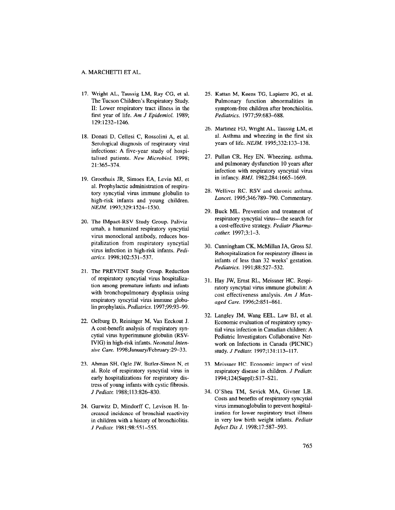- 17. Wright AL, Taussig LM, Ray CG, et al. The Tucson Children's Respiratory Study. II: Lower respiratory tract illness in the first year of life. Am J Epidemiol. 1989; 129:1232-1246.
- 18. Donati D, Cellesi C, Rossolini A, et al. Serological diagnosis of respiratory viral infections: A five-year study of hospitalised patients. New Microbiol. 1998; 21:365-374.
- 19. Groothuis JR, Simoes EA, Levin MJ, et al. Prophylactic administration of respiratory syncytial virus immune globulin to high-risk infants and young children. NEJM. 1993;329:1524-1530.
- 20. The IMpact-RSV Study Group. Palivi: umab, a humanized respiratory syncytial virus monoclonal antibody, reduces hospitalization from respiratory syncytial virus infection in high-risk infants. Pediatrics. 1998;102:531-537,
- 21. The PREVENT Study Group. Reduction of respiratory syncytial virus hospitalization among premature infants and infants with bronchopulmonary dysplasia using respiratory syncytial virus immune globulin prophylaxis. Pediatrics. 1997;99:93-99.
- 22. Oelburg D, Reininger M, Van Eeckout J. A cost-benefit analysis of respiratory syncytial virus hyperimmune globulin (RSV-IVIG) in high-risk infants. Neonatal Intensive Care. 1998;January/February:29-33.
- 23. Abman SH, Ogle JW, Butler-Simon N, et al. Role of respiratory syncytial virus in early hospitalizations for respiratory distress of young infants with cystic fibrosis. J Pediatr. 1988;113:826-830.
- $\alpha$  and  $\alpha$  b,  $\alpha$  and  $\alpha$  and  $\alpha$  and  $\alpha$ creased incidence of bronchial reactivity in children with a history of bronchiolitis. J Pediatr. 1981;98:551-555.
- 25. Kattan M, Keens TG, Lapierre JG, et al. Pulmonary function abnormalities in symptom-free children after bronchiolitis. Pediatrics. 1977;59:683-688.
- 26. Martinez FD, Wright AL, Taussig LM, et al. Asthma and wheezing in the first six years of life. NEJM. 1995;332:133-138.
- 27. Pullan CR, Hey EN. Wheezing, asthma, and pulmonary dysfunction 10 years after infection with respiratory syncytial virus in infancy. BMJ. 1982;284:1665-1669.
- 28. Welliver RC. RSV and chronic asthma. Lancet. 1995;346:789-790. Commentary.
- 29. Buck ML. Prevention and treatment of respiratory syncytial virus-the search for a cost-effective strategy. Pediatr Pharmacother. 1997;3:1-3.
- 30. Cunningham CK, McMillan JA, Gross SJ. Rehospitalization for respiratory illness in infants of less than 32 weeks' gestation. Pediatrics. 1991;88:527-532.
- <sup>21</sup> Hay JW, Ernst RL, Meissner HC, Respi ratory syncytial virus immune globulin: A cost effectiveness analysis. Am J Managed Care. 1996;2:851-861.
- 32. Langley JM, Wang EEL, Law BJ, et al. Economic evaluation of respiratory syncytial virus infection in Canadian children: A Pediatric Investigators Collaborative Network on Infections in Canada (PICNIC) study. J Pediatr. 1997;131:113-117.
- 33. Meissner HC. Economic impact of viral respiratory disease in children. J Pediatr. 1994;124(Suppl):S17-S21.
- 34. O'Shea TM, Sevick MA, Givner LB. Costs and benefits of respiratory syncytial virus immunoglobulin to prevent hospitalization for lower respiratory tract illness in very low birth weight infants. Pediatr Infect Dis J. 1998;17:587-593.